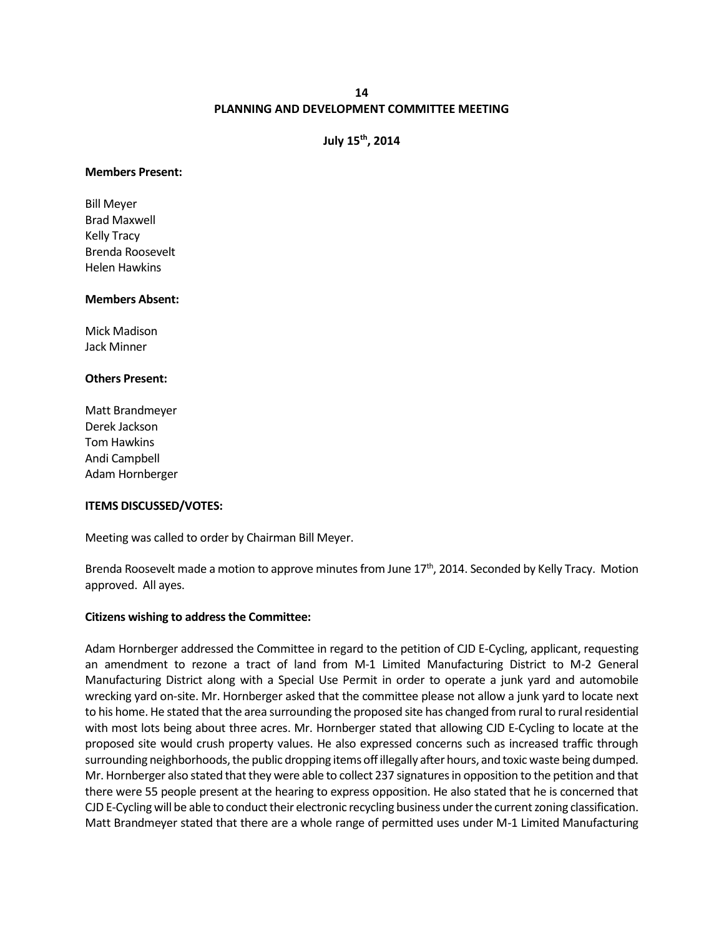## **14 PLANNING AND DEVELOPMENT COMMITTEE MEETING**

# **July 15th, 2014**

#### **Members Present:**

Bill Meyer Brad Maxwell Kelly Tracy Brenda Roosevelt Helen Hawkins

### **Members Absent:**

Mick Madison Jack Minner

### **Others Present:**

Matt Brandmeyer Derek Jackson Tom Hawkins Andi Campbell Adam Hornberger

### **ITEMS DISCUSSED/VOTES:**

Meeting was called to order by Chairman Bill Meyer.

Brenda Roosevelt made a motion to approve minutes from June 17<sup>th</sup>, 2014. Seconded by Kelly Tracy. Motion approved. All ayes.

### **Citizens wishing to address the Committee:**

Adam Hornberger addressed the Committee in regard to the petition of CJD E-Cycling, applicant, requesting an amendment to rezone a tract of land from M-1 Limited Manufacturing District to M-2 General Manufacturing District along with a Special Use Permit in order to operate a junk yard and automobile wrecking yard on-site. Mr. Hornberger asked that the committee please not allow a junk yard to locate next to his home. He stated that the area surrounding the proposed site has changed from rural to rural residential with most lots being about three acres. Mr. Hornberger stated that allowing CJD E-Cycling to locate at the proposed site would crush property values. He also expressed concerns such as increased traffic through surrounding neighborhoods, the public dropping items off illegally after hours, and toxic waste being dumped. Mr. Hornberger also stated that they were able to collect 237 signatures in opposition to the petition and that there were 55 people present at the hearing to express opposition. He also stated that he is concerned that CJD E-Cycling will be able to conduct their electronic recycling business under the current zoning classification. Matt Brandmeyer stated that there are a whole range of permitted uses under M-1 Limited Manufacturing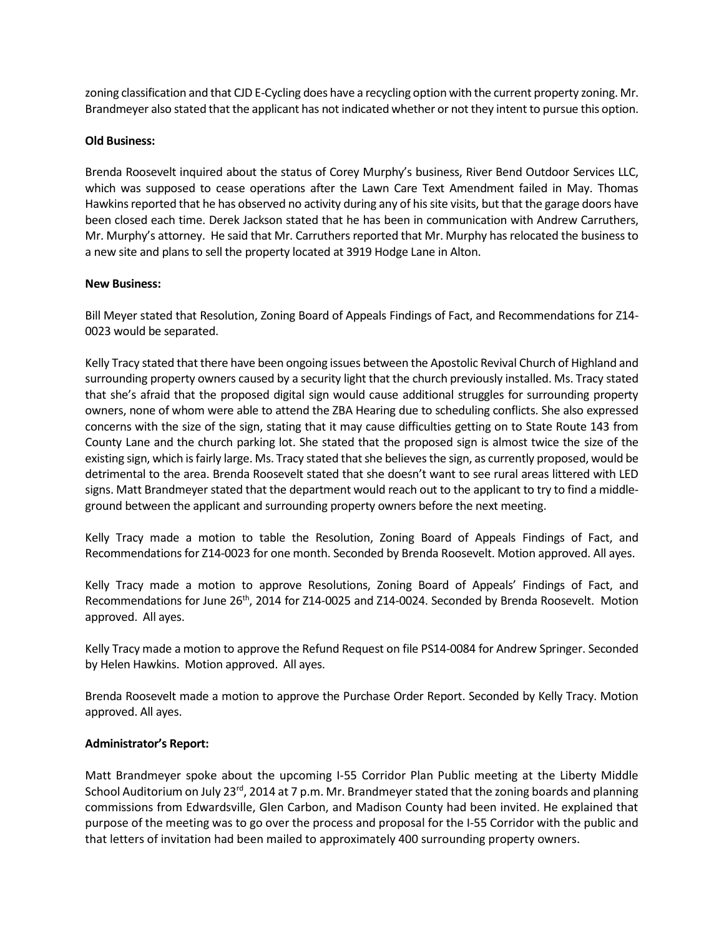zoning classification and that CJD E-Cycling does have a recycling option with the current property zoning. Mr. Brandmeyer also stated that the applicant has not indicated whether or not they intent to pursue this option.

## **Old Business:**

Brenda Roosevelt inquired about the status of Corey Murphy's business, River Bend Outdoor Services LLC, which was supposed to cease operations after the Lawn Care Text Amendment failed in May. Thomas Hawkins reported that he has observed no activity during any of his site visits, but that the garage doors have been closed each time. Derek Jackson stated that he has been in communication with Andrew Carruthers, Mr. Murphy's attorney. He said that Mr. Carruthers reported that Mr. Murphy has relocated the business to a new site and plans to sell the property located at 3919 Hodge Lane in Alton.

## **New Business:**

Bill Meyer stated that Resolution, Zoning Board of Appeals Findings of Fact, and Recommendations for Z14- 0023 would be separated.

Kelly Tracy stated that there have been ongoing issues between the Apostolic Revival Church of Highland and surrounding property owners caused by a security light that the church previously installed. Ms. Tracy stated that she's afraid that the proposed digital sign would cause additional struggles for surrounding property owners, none of whom were able to attend the ZBA Hearing due to scheduling conflicts. She also expressed concerns with the size of the sign, stating that it may cause difficulties getting on to State Route 143 from County Lane and the church parking lot. She stated that the proposed sign is almost twice the size of the existing sign, which is fairly large. Ms. Tracy stated that she believes the sign, as currently proposed, would be detrimental to the area. Brenda Roosevelt stated that she doesn't want to see rural areas littered with LED signs. Matt Brandmeyer stated that the department would reach out to the applicant to try to find a middleground between the applicant and surrounding property owners before the next meeting.

Kelly Tracy made a motion to table the Resolution, Zoning Board of Appeals Findings of Fact, and Recommendations for Z14-0023 for one month. Seconded by Brenda Roosevelt. Motion approved. All ayes.

Kelly Tracy made a motion to approve Resolutions, Zoning Board of Appeals' Findings of Fact, and Recommendations for June 26<sup>th</sup>, 2014 for Z14-0025 and Z14-0024. Seconded by Brenda Roosevelt. Motion approved. All ayes.

Kelly Tracy made a motion to approve the Refund Request on file PS14-0084 for Andrew Springer. Seconded by Helen Hawkins. Motion approved. All ayes.

Brenda Roosevelt made a motion to approve the Purchase Order Report. Seconded by Kelly Tracy. Motion approved. All ayes.

### **Administrator's Report:**

Matt Brandmeyer spoke about the upcoming I-55 Corridor Plan Public meeting at the Liberty Middle School Auditorium on July 23<sup>rd</sup>, 2014 at 7 p.m. Mr. Brandmeyer stated that the zoning boards and planning commissions from Edwardsville, Glen Carbon, and Madison County had been invited. He explained that purpose of the meeting was to go over the process and proposal for the I-55 Corridor with the public and that letters of invitation had been mailed to approximately 400 surrounding property owners.